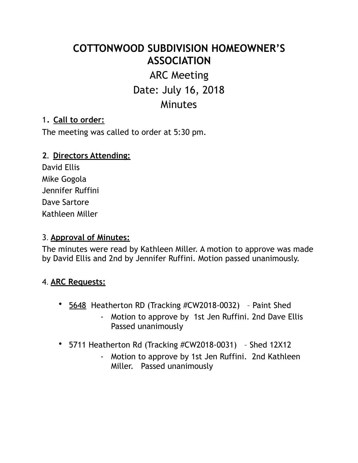# **COTTONWOOD SUBDIVISION HOMEOWNER'S ASSOCIATION**

# ARC Meeting Date: July 16, 2018 **Minutes**

### 1. **Call to order:**

The meeting was called to order at 5:30 pm.

#### **2. Directors Attending:**

David Ellis Mike Gogola Jennifer Ruffini Dave Sartore Kathleen Miller

#### 3. **Approval of Minutes:**

The minutes were read by Kathleen Miller. A motion to approve was made by David Ellis and 2nd by Jennifer Ruffini. Motion passed unanimously.

#### 4. **ARC Requests:**

- 5648 Heatherton RD (Tracking #CW2018-0032) Paint Shed
	- Motion to approve by 1st Jen Ruffini. 2nd Dave Ellis Passed unanimously
- 5711 Heatherton Rd (Tracking #CW2018-0031) Shed 12X12
	- Motion to approve by 1st Jen Ruffini. 2nd Kathleen Miller. Passed unanimously